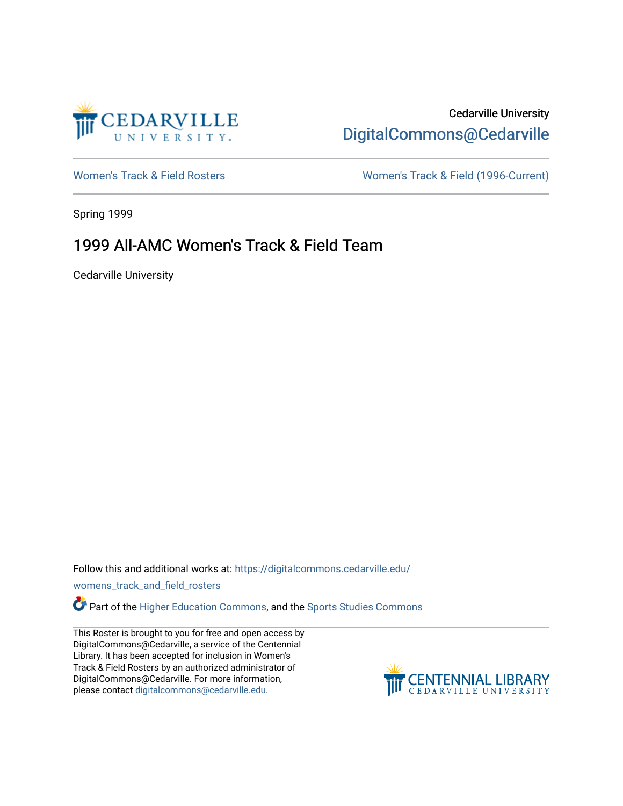

## Cedarville University [DigitalCommons@Cedarville](https://digitalcommons.cedarville.edu/)

[Women's Track & Field Rosters](https://digitalcommons.cedarville.edu/womens_track_and_field_rosters) Women's Track & Field (1996-Current)

Spring 1999

## 1999 All-AMC Women's Track & Field Team

Cedarville University

Follow this and additional works at: [https://digitalcommons.cedarville.edu/](https://digitalcommons.cedarville.edu/womens_track_and_field_rosters?utm_source=digitalcommons.cedarville.edu%2Fwomens_track_and_field_rosters%2F25&utm_medium=PDF&utm_campaign=PDFCoverPages)

[womens\\_track\\_and\\_field\\_rosters](https://digitalcommons.cedarville.edu/womens_track_and_field_rosters?utm_source=digitalcommons.cedarville.edu%2Fwomens_track_and_field_rosters%2F25&utm_medium=PDF&utm_campaign=PDFCoverPages) 

**C** Part of the [Higher Education Commons,](http://network.bepress.com/hgg/discipline/1245?utm_source=digitalcommons.cedarville.edu%2Fwomens_track_and_field_rosters%2F25&utm_medium=PDF&utm_campaign=PDFCoverPages) and the Sports Studies Commons

This Roster is brought to you for free and open access by DigitalCommons@Cedarville, a service of the Centennial Library. It has been accepted for inclusion in Women's Track & Field Rosters by an authorized administrator of DigitalCommons@Cedarville. For more information, please contact [digitalcommons@cedarville.edu](mailto:digitalcommons@cedarville.edu).